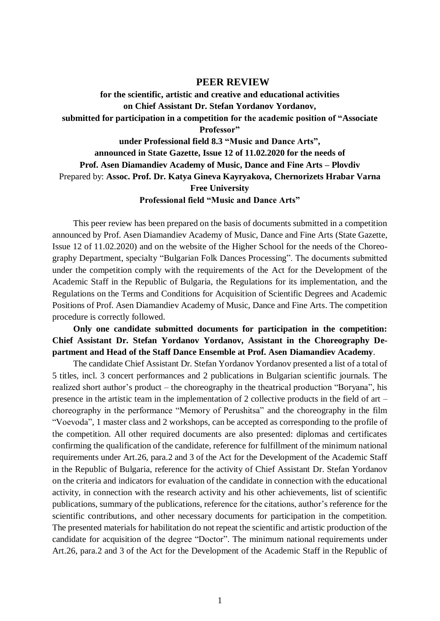## **PEER REVIEW**

**for the scientific, artistic and creative and educational activities on Chief Assistant Dr. Stefan Yordanov Yordanov, submitted for participation in a competition for the academic position of "Associate Professor" under Professional field 8.3 "Music and Dance Arts", announced in State Gazette, Issue 12 of 11.02.2020 for the needs of Prof. Asen Diamandiev Academy of Music, Dance and Fine Arts – Plovdiv** Prepared by: **Assoc. Prof. Dr. Katya Gineva Kayryakova, Chernorizets Hrabar Varna Free University**

**Professional field "Music and Dance Arts"**

This peer review has been prepared on the basis of documents submitted in a competition announced by Prof. Asen Diamandiev Academy of Music, Dance and Fine Arts (State Gazette, Issue 12 of 11.02.2020) and on the website of the Higher School for the needs of the Choreography Department, specialty "Bulgarian Folk Dances Processing". The documents submitted under the competition comply with the requirements of the Act for the Development of the Academic Staff in the Republic of Bulgaria, the Regulations for its implementation, and the Regulations on the Terms and Conditions for Acquisition of Scientific Degrees and Academic Positions of Prof. Asen Diamandiev Academy of Music, Dance and Fine Arts. The competition procedure is correctly followed.

**Only one candidate submitted documents for participation in the competition: Chief Assistant Dr. Stefan Yordanov Yordanov, Assistant in the Choreography Department and Head of the Staff Dance Ensemble at Prof. Asen Diamandiev Academy**.

The candidate Chief Assistant Dr. Stefan Yordanov Yordanov presented a list of a total of 5 titles, incl. 3 concert performances and 2 publications in Bulgarian scientific journals. The realized short author's product – the choreography in the theatrical production "Boryana", his presence in the artistic team in the implementation of 2 collective products in the field of art – choreography in the performance "Memory of Perushitsa" and the choreography in the film "Voevoda", 1 master class and 2 workshops, can be accepted as corresponding to the profile of the competition. All other required documents are also presented: diplomas and certificates confirming the qualification of the candidate, reference for fulfillment of the minimum national requirements under Art.26, para.2 and 3 of the Act for the Development of the Academic Staff in the Republic of Bulgaria, reference for the activity of Chief Assistant Dr. Stefan Yordanov on the criteria and indicators for evaluation of the candidate in connection with the educational activity, in connection with the research activity and his other achievements, list of scientific publications, summary of the publications, reference for the citations, author's reference for the scientific contributions, and other necessary documents for participation in the competition. The presented materials for habilitation do not repeat the scientific and artistic production of the candidate for acquisition of the degree "Doctor". The minimum national requirements under Art.26, para.2 and 3 of the Act for the Development of the Academic Staff in the Republic of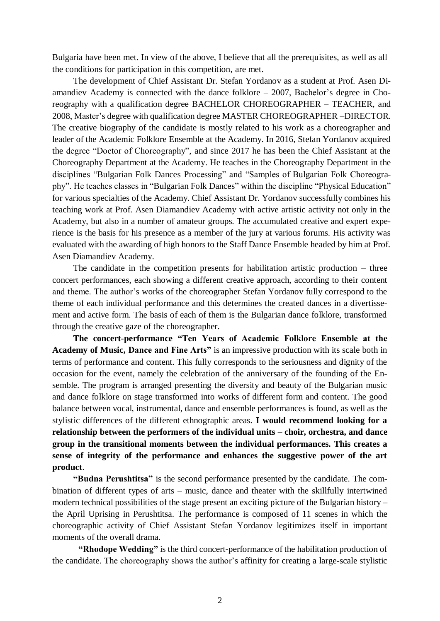Bulgaria have been met. In view of the above, I believe that all the prerequisites, as well as all the conditions for participation in this competition, are met.

The development of Chief Assistant Dr. Stefan Yordanov as a student at Prof. Asen Diamandiev Academy is connected with the dance folklore – 2007, Bachelor's degree in Choreography with a qualification degree BACHELOR CHOREOGRAPHER – TEACHER, and 2008, Master's degree with qualification degree MASTER CHOREOGRAPHER –DIRECTOR. The creative biography of the candidate is mostly related to his work as a choreographer and leader of the Academic Folklore Ensemble at the Academy. In 2016, Stefan Yordanov acquired the degree "Doctor of Choreography", and since 2017 he has been the Chief Assistant at the Choreography Department at the Academy. He teaches in the Choreography Department in the disciplines "Bulgarian Folk Dances Processing" and "Samples of Bulgarian Folk Choreography". He teaches classes in "Bulgarian Folk Dances" within the discipline "Physical Education" for various specialties of the Academy. Chief Assistant Dr. Yordanov successfully combines his teaching work at Prof. Asen Diamandiev Academy with active artistic activity not only in the Academy, but also in a number of amateur groups. The accumulated creative and expert experience is the basis for his presence as a member of the jury at various forums. His activity was evaluated with the awarding of high honors to the Staff Dance Ensemble headed by him at Prof. Asen Diamandiev Academy.

The candidate in the competition presents for habilitation artistic production – three concert performances, each showing a different creative approach, according to their content and theme. The author's works of the choreographer Stefan Yordanov fully correspond to the theme of each individual performance and this determines the created dances in a divertissement and active form. The basis of each of them is the Bulgarian dance folklore, transformed through the creative gaze of the choreographer.

**The concert-performance "Ten Years of Academic Folklore Ensemble at the Academy of Music, Dance and Fine Arts"** is an impressive production with its scale both in terms of performance and content. This fully corresponds to the seriousness and dignity of the occasion for the event, namely the celebration of the anniversary of the founding of the Ensemble. The program is arranged presenting the diversity and beauty of the Bulgarian music and dance folklore on stage transformed into works of different form and content. The good balance between vocal, instrumental, dance and ensemble performances is found, as well as the stylistic differences of the different ethnographic areas. **I would recommend looking for a relationship between the performers of the individual units – choir, orchestra, and dance group in the transitional moments between the individual performances. This creates a sense of integrity of the performance and enhances the suggestive power of the art product**.

**"Budna Perushtitsa"** is the second performance presented by the candidate. The combination of different types of arts – music, dance and theater with the skillfully intertwined modern technical possibilities of the stage present an exciting picture of the Bulgarian history – the April Uprising in Perushtitsa. The performance is composed of 11 scenes in which the choreographic activity of Chief Assistant Stefan Yordanov legitimizes itself in important moments of the overall drama.

**"Rhodope Wedding"** is the third concert-performance of the habilitation production of the candidate. The choreography shows the author's affinity for creating a large-scale stylistic